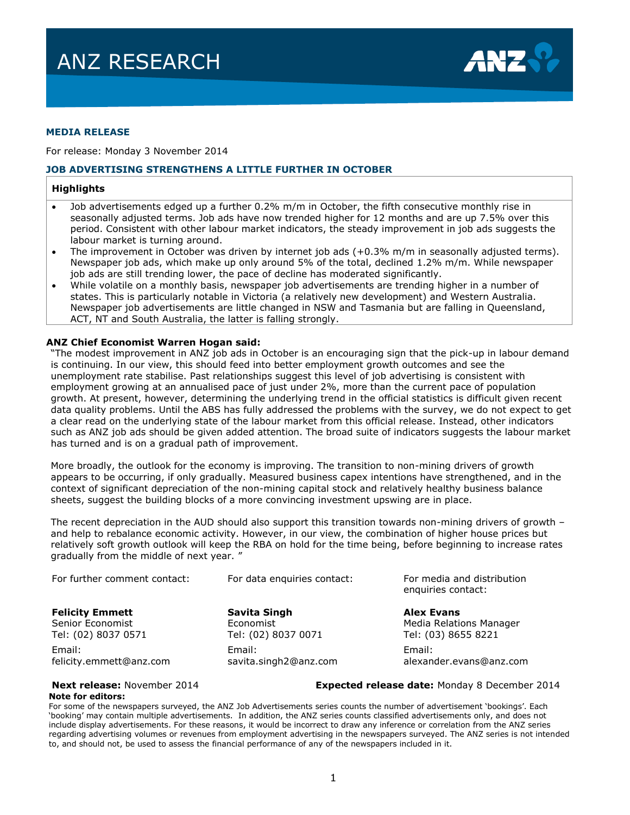

#### **MEDIA RELEASE**

For release: Monday 3 November 2014

#### **JOB ADVERTISING STRENGTHENS A LITTLE FURTHER IN OCTOBER**

#### **Highlights**

- Job advertisements edged up a further 0.2% m/m in October, the fifth consecutive monthly rise in seasonally adjusted terms. Job ads have now trended higher for 12 months and are up 7.5% over this period. Consistent with other labour market indicators, the steady improvement in job ads suggests the labour market is turning around.
- The improvement in October was driven by internet job ads  $(+0.3\%$  m/m in seasonally adjusted terms). Newspaper job ads, which make up only around 5% of the total, declined 1.2% m/m. While newspaper job ads are still trending lower, the pace of decline has moderated significantly.
- While volatile on a monthly basis, newspaper job advertisements are trending higher in a number of states. This is particularly notable in Victoria (a relatively new development) and Western Australia. Newspaper job advertisements are little changed in NSW and Tasmania but are falling in Queensland, ACT, NT and South Australia, the latter is falling strongly.

#### **ANZ Chief Economist Warren Hogan said:**

"The modest improvement in ANZ job ads in October is an encouraging sign that the pick-up in labour demand is continuing. In our view, this should feed into better employment growth outcomes and see the unemployment rate stabilise. Past relationships suggest this level of job advertising is consistent with employment growing at an annualised pace of just under 2%, more than the current pace of population growth. At present, however, determining the underlying trend in the official statistics is difficult given recent data quality problems. Until the ABS has fully addressed the problems with the survey, we do not expect to get a clear read on the underlying state of the labour market from this official release. Instead, other indicators such as ANZ job ads should be given added attention. The broad suite of indicators suggests the labour market has turned and is on a gradual path of improvement.

More broadly, the outlook for the economy is improving. The transition to non-mining drivers of growth appears to be occurring, if only gradually. Measured business capex intentions have strengthened, and in the context of significant depreciation of the non-mining capital stock and relatively healthy business balance sheets, suggest the building blocks of a more convincing investment upswing are in place.

The recent depreciation in the AUD should also support this transition towards non-mining drivers of growth – and help to rebalance economic activity. However, in our view, the combination of higher house prices but relatively soft growth outlook will keep the RBA on hold for the time being, before beginning to increase rates gradually from the middle of next year. "

| For further comment contact: | For data enquiries contact: | For media and distribution<br>enquiries contact: |  |  |
|------------------------------|-----------------------------|--------------------------------------------------|--|--|
| <b>Felicity Emmett</b>       | Savita Singh                | <b>Alex Evans</b>                                |  |  |
| Senior Economist             | Economist                   | Media Relations Manager                          |  |  |
| Tel: (02) 8037 0571          | Tel: (02) 8037 0071         | Tel: (03) 8655 8221                              |  |  |
| Email:                       | Email:                      | Email:                                           |  |  |
| felicity.emmett@anz.com      | savita.singh2@anz.com       | alexander.evans@anz.com                          |  |  |

#### **Next release:** November 2014 **Expected release date:** Monday 8 December 2014

#### **Note for editors:**

For some of the newspapers surveyed, the ANZ Job Advertisements series counts the number of advertisement 'bookings'. Each 'booking' may contain multiple advertisements. In addition, the ANZ series counts classified advertisements only, and does not include display advertisements. For these reasons, it would be incorrect to draw any inference or correlation from the ANZ series regarding advertising volumes or revenues from employment advertising in the newspapers surveyed. The ANZ series is not intended to, and should not, be used to assess the financial performance of any of the newspapers included in it.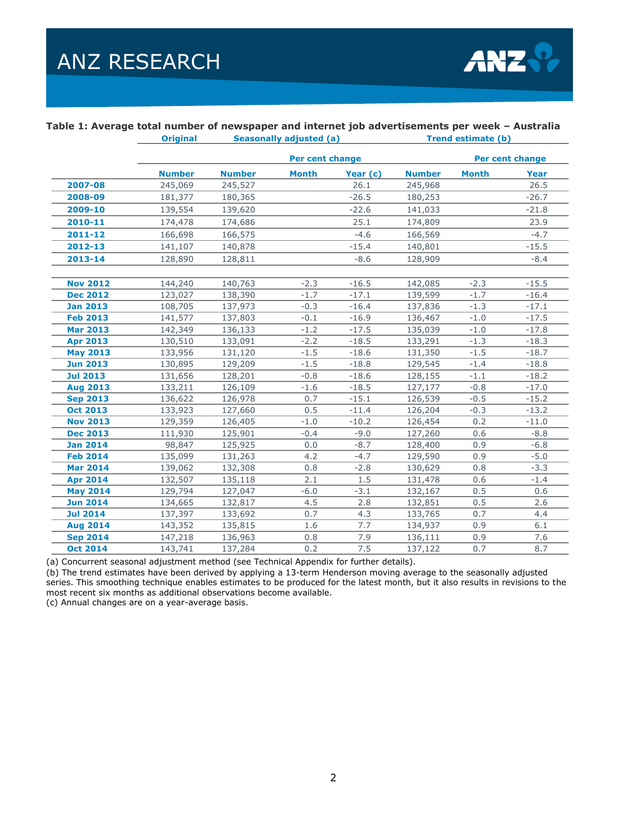

#### **Table 1: Average total number of newspaper and internet job advertisements per week – Australia**

|                 | <b>Original</b> | <b>Seasonally adjusted (a)</b> |                 |          | Trend estimate (b) |              |                 |  |  |
|-----------------|-----------------|--------------------------------|-----------------|----------|--------------------|--------------|-----------------|--|--|
|                 |                 |                                | Per cent change |          |                    |              | Per cent change |  |  |
|                 | <b>Number</b>   | <b>Number</b>                  | <b>Month</b>    | Year (c) | <b>Number</b>      | <b>Month</b> | <b>Year</b>     |  |  |
| 2007-08         | 245,069         | 245,527                        |                 | 26.1     | 245,968            |              | 26.5            |  |  |
| 2008-09         | 181,377         | 180,365                        |                 | $-26.5$  | 180,253            |              | $-26.7$         |  |  |
| 2009-10         | 139,554         | 139,620                        |                 | $-22.6$  | 141,033            |              | $-21.8$         |  |  |
| 2010-11         | 174,478         | 174,686                        |                 | 25.1     | 174,809            |              | 23.9            |  |  |
| 2011-12         | 166,698         | 166,575                        |                 | $-4.6$   | 166,569            |              | $-4.7$          |  |  |
| 2012-13         | 141,107         | 140,878                        |                 | $-15.4$  | 140,801            |              | $-15.5$         |  |  |
| 2013-14         | 128,890         | 128,811                        |                 | $-8.6$   | 128,909            |              | $-8.4$          |  |  |
|                 |                 |                                |                 |          |                    |              |                 |  |  |
| <b>Nov 2012</b> | 144,240         | 140,763                        | $-2.3$          | $-16.5$  | 142,085            | $-2.3$       | $-15.5$         |  |  |
| <b>Dec 2012</b> | 123,027         | 138,390                        | $-1.7$          | $-17.1$  | 139,599            | $-1.7$       | $-16.4$         |  |  |
| <b>Jan 2013</b> | 108,705         | 137,973                        | $-0.3$          | $-16.4$  | 137,836            | $-1.3$       | $-17.1$         |  |  |
| <b>Feb 2013</b> | 141,577         | 137,803                        | $-0.1$          | $-16.9$  | 136,467            | $-1.0$       | $-17.5$         |  |  |
| <b>Mar 2013</b> | 142,349         | 136,133                        | $-1.2$          | $-17.5$  | 135,039            | $-1.0$       | $-17.8$         |  |  |
| <b>Apr 2013</b> | 130,510         | 133,091                        | $-2.2$          | $-18.5$  | 133,291            | $-1.3$       | $-18.3$         |  |  |
| <b>May 2013</b> | 133,956         | 131,120                        | $-1.5$          | $-18.6$  | 131,350            | $-1.5$       | $-18.7$         |  |  |
| <b>Jun 2013</b> | 130,895         | 129,209                        | $-1.5$          | $-18.8$  | 129,545            | $-1.4$       | $-18.8$         |  |  |
| <b>Jul 2013</b> | 131,656         | 128,201                        | $-0.8$          | $-18.6$  | 128,155            | $-1.1$       | $-18.2$         |  |  |
| <b>Aug 2013</b> | 133,211         | 126,109                        | $-1.6$          | $-18.5$  | 127,177            | $-0.8$       | $-17.0$         |  |  |
| <b>Sep 2013</b> | 136,622         | 126,978                        | 0.7             | $-15.1$  | 126,539            | $-0.5$       | $-15.2$         |  |  |
| <b>Oct 2013</b> | 133,923         | 127,660                        | 0.5             | $-11.4$  | 126,204            | $-0.3$       | $-13.2$         |  |  |
| <b>Nov 2013</b> | 129,359         | 126,405                        | $-1.0$          | $-10.2$  | 126,454            | 0.2          | $-11.0$         |  |  |
| <b>Dec 2013</b> | 111,930         | 125,901                        | $-0.4$          | $-9.0$   | 127,260            | 0.6          | $-8.8$          |  |  |
| <b>Jan 2014</b> | 98,847          | 125,925                        | 0.0             | $-8.7$   | 128,400            | 0.9          | $-6.8$          |  |  |
| <b>Feb 2014</b> | 135,099         | 131,263                        | 4.2             | $-4.7$   | 129,590            | 0.9          | $-5.0$          |  |  |
| <b>Mar 2014</b> | 139,062         | 132,308                        | 0.8             | $-2.8$   | 130,629            | 0.8          | $-3.3$          |  |  |
| <b>Apr 2014</b> | 132,507         | 135,118                        | 2.1             | 1.5      | 131,478            | 0.6          | $-1.4$          |  |  |
| <b>May 2014</b> | 129,794         | 127,047                        | $-6.0$          | $-3.1$   | 132,167            | 0.5          | 0.6             |  |  |
| <b>Jun 2014</b> | 134,665         | 132,817                        | 4.5             | 2.8      | 132,851            | 0.5          | 2.6             |  |  |
| <b>Jul 2014</b> | 137,397         | 133,692                        | 0.7             | 4.3      | 133,765            | 0.7          | 4.4             |  |  |
| <b>Aug 2014</b> | 143,352         | 135,815                        | 1.6             | 7.7      | 134,937            | 0.9          | 6.1             |  |  |
| <b>Sep 2014</b> | 147,218         | 136,963                        | 0.8             | 7.9      | 136,111            | 0.9          | 7.6             |  |  |
| <b>Oct 2014</b> | 143,741         | 137,284                        | 0.2             | 7.5      | 137,122            | 0.7          | 8.7             |  |  |

(a) Concurrent seasonal adjustment method (see Technical Appendix for further details).

(b) The trend estimates have been derived by applying a 13-term Henderson moving average to the seasonally adjusted series. This smoothing technique enables estimates to be produced for the latest month, but it also results in revisions to the most recent six months as additional observations become available.

(c) Annual changes are on a year-average basis.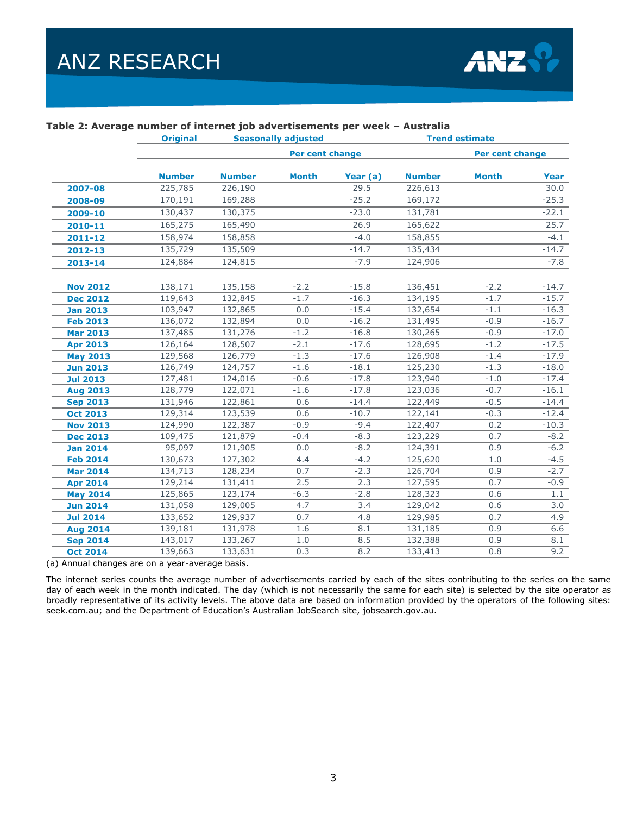

|                 | <b>Original</b><br><b>Seasonally adjusted</b> |               |                 |          | <b>Trend estimate</b> |                 |         |  |
|-----------------|-----------------------------------------------|---------------|-----------------|----------|-----------------------|-----------------|---------|--|
|                 |                                               |               | Per cent change |          |                       | Per cent change |         |  |
|                 | <b>Number</b>                                 | <b>Number</b> | <b>Month</b>    | Year (a) | <b>Number</b>         | <b>Month</b>    | Year    |  |
| 2007-08         | 225,785                                       | 226,190       |                 | 29.5     | 226,613               |                 | 30.0    |  |
| 2008-09         | 170,191                                       | 169,288       |                 | $-25.2$  | 169,172               |                 | $-25.3$ |  |
| 2009-10         | 130,437                                       | 130,375       |                 | $-23.0$  | 131,781               |                 | $-22.1$ |  |
| 2010-11         | 165,275                                       | 165,490       |                 | 26.9     | 165,622               |                 | 25.7    |  |
| $2011 - 12$     | 158,974                                       | 158,858       |                 | $-4.0$   | 158,855               |                 | $-4.1$  |  |
| 2012-13         | 135,729                                       | 135,509       |                 | $-14.7$  | 135,434               |                 | $-14.7$ |  |
| 2013-14         | 124,884                                       | 124,815       |                 | $-7.9$   | 124,906               |                 | $-7.8$  |  |
|                 |                                               |               |                 |          |                       |                 |         |  |
| <b>Nov 2012</b> | 138,171                                       | 135,158       | $-2.2$          | $-15.8$  | 136,451               | $-2.2$          | $-14.7$ |  |
| <b>Dec 2012</b> | 119,643                                       | 132,845       | $-1.7$          | $-16.3$  | 134,195               | $-1.7$          | $-15.7$ |  |
| <b>Jan 2013</b> | 103,947                                       | 132,865       | 0.0             | $-15.4$  | 132,654               | $-1.1$          | $-16.3$ |  |
| <b>Feb 2013</b> | 136,072                                       | 132,894       | 0.0             | $-16.2$  | 131,495               | $-0.9$          | $-16.7$ |  |
| <b>Mar 2013</b> | 137,485                                       | 131,276       | $-1.2$          | $-16.8$  | 130,265               | $-0.9$          | $-17.0$ |  |
| <b>Apr 2013</b> | 126,164                                       | 128,507       | $-2.1$          | $-17.6$  | 128,695               | $-1.2$          | $-17.5$ |  |
| <b>May 2013</b> | 129,568                                       | 126,779       | $-1.3$          | $-17.6$  | 126,908               | $-1.4$          | $-17.9$ |  |
| <b>Jun 2013</b> | 126,749                                       | 124, 757      | $-1.6$          | $-18.1$  | 125,230               | $-1.3$          | $-18.0$ |  |
| <b>Jul 2013</b> | 127,481                                       | 124,016       | $-0.6$          | $-17.8$  | 123,940               | $-1.0$          | $-17.4$ |  |
| <b>Aug 2013</b> | 128,779                                       | 122,071       | $-1.6$          | $-17.8$  | 123,036               | $-0.7$          | $-16.1$ |  |
| <b>Sep 2013</b> | 131,946                                       | 122,861       | 0.6             | $-14.4$  | 122,449               | $-0.5$          | $-14.4$ |  |
| <b>Oct 2013</b> | 129,314                                       | 123,539       | 0.6             | $-10.7$  | 122,141               | $-0.3$          | $-12.4$ |  |
| <b>Nov 2013</b> | 124,990                                       | 122,387       | $-0.9$          | $-9.4$   | 122,407               | 0.2             | $-10.3$ |  |
| <b>Dec 2013</b> | 109,475                                       | 121,879       | $-0.4$          | $-8.3$   | 123,229               | 0.7             | $-8.2$  |  |
| <b>Jan 2014</b> | 95,097                                        | 121,905       | 0.0             | $-8.2$   | 124,391               | 0.9             | $-6.2$  |  |
| <b>Feb 2014</b> | 130,673                                       | 127,302       | 4.4             | $-4.2$   | 125,620               | 1.0             | $-4.5$  |  |
| <b>Mar 2014</b> | 134,713                                       | 128,234       | 0.7             | $-2.3$   | 126,704               | 0.9             | $-2.7$  |  |
| <b>Apr 2014</b> | 129,214                                       | 131,411       | 2.5             | 2.3      | 127,595               | 0.7             | $-0.9$  |  |
| <b>May 2014</b> | 125,865                                       | 123,174       | $-6.3$          | $-2.8$   | 128,323               | 0.6             | 1.1     |  |
| <b>Jun 2014</b> | 131,058                                       | 129,005       | 4.7             | 3.4      | 129,042               | 0.6             | 3.0     |  |
| <b>Jul 2014</b> | 133,652                                       | 129,937       | 0.7             | 4.8      | 129,985               | 0.7             | 4.9     |  |
| <b>Aug 2014</b> | 139,181                                       | 131,978       | 1.6             | 8.1      | 131,185               | 0.9             | 6.6     |  |
| <b>Sep 2014</b> | 143,017                                       | 133,267       | 1.0             | 8.5      | 132,388               | 0.9             | 8.1     |  |
| <b>Oct 2014</b> | 139,663                                       | 133,631       | 0.3             | 8.2      | 133,413               | 0.8             | 9.2     |  |

#### **Table 2: Average number of internet job advertisements per week – Australia**

(a) Annual changes are on a year-average basis.

The internet series counts the average number of advertisements carried by each of the sites contributing to the series on the same day of each week in the month indicated. The day (which is not necessarily the same for each site) is selected by the site operator as broadly representative of its activity levels. The above data are based on information provided by the operators of the following sites: seek.com.au; and the Department of Education's Australian JobSearch site, jobsearch.gov.au.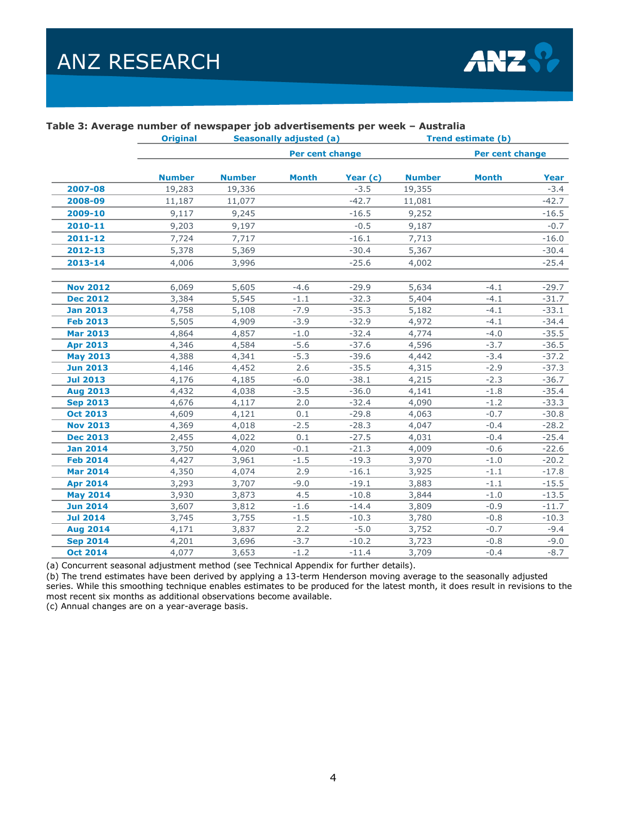

|                 | <b>Original</b> | <b>Seasonally adjusted (a)</b> |                 |          | <b>Trend estimate (b)</b> |                 |         |  |
|-----------------|-----------------|--------------------------------|-----------------|----------|---------------------------|-----------------|---------|--|
|                 |                 |                                | Per cent change |          |                           | Per cent change |         |  |
|                 | <b>Number</b>   | <b>Number</b>                  | <b>Month</b>    | Year (c) | <b>Number</b>             | <b>Month</b>    | Year    |  |
| 2007-08         | 19,283          | 19,336                         |                 | $-3.5$   | 19,355                    |                 | $-3.4$  |  |
| 2008-09         | 11,187          | 11,077                         |                 | $-42.7$  | 11,081                    |                 | $-42.7$ |  |
| 2009-10         | 9,117           | 9,245                          |                 | $-16.5$  | 9,252                     |                 | $-16.5$ |  |
| 2010-11         | 9,203           | 9,197                          |                 | $-0.5$   | 9,187                     |                 | $-0.7$  |  |
| $2011 - 12$     | 7,724           | 7,717                          |                 | $-16.1$  | 7,713                     |                 | $-16.0$ |  |
| $2012 - 13$     | 5,378           | 5,369                          |                 | $-30.4$  | 5,367                     |                 | $-30.4$ |  |
| $2013 - 14$     | 4,006           | 3,996                          |                 | $-25.6$  | 4,002                     |                 | $-25.4$ |  |
| <b>Nov 2012</b> | 6,069           | 5,605                          | $-4.6$          | $-29.9$  | 5,634                     | $-4.1$          | $-29.7$ |  |
| <b>Dec 2012</b> | 3,384           | 5,545                          | $-1.1$          | $-32.3$  | 5,404                     | $-4.1$          | $-31.7$ |  |
| <b>Jan 2013</b> | 4,758           | 5,108                          | $-7.9$          | $-35.3$  | 5,182                     | $-4.1$          | $-33.1$ |  |
| <b>Feb 2013</b> | 5,505           | 4,909                          | $-3.9$          | $-32.9$  | 4,972                     | $-4.1$          | $-34.4$ |  |
| <b>Mar 2013</b> | 4,864           | 4,857                          | $-1.0$          | $-32.4$  | 4,774                     | $-4.0$          | $-35.5$ |  |
| <b>Apr 2013</b> | 4,346           | 4,584                          | $-5.6$          | $-37.6$  | 4,596                     | $-3.7$          | $-36.5$ |  |
| <b>May 2013</b> | 4,388           | 4,341                          | $-5.3$          | $-39.6$  | 4,442                     | $-3.4$          | $-37.2$ |  |
| <b>Jun 2013</b> | 4,146           | 4,452                          | 2.6             | $-35.5$  | 4,315                     | $-2.9$          | $-37.3$ |  |
| <b>Jul 2013</b> | 4,176           | 4,185                          | $-6.0$          | $-38.1$  | 4,215                     | $-2.3$          | $-36.7$ |  |
| <b>Aug 2013</b> | 4,432           | 4,038                          | $-3.5$          | $-36.0$  | 4,141                     | $-1.8$          | $-35.4$ |  |
| <b>Sep 2013</b> | 4,676           | 4,117                          | 2.0             | $-32.4$  | 4,090                     | $-1.2$          | $-33.3$ |  |
| <b>Oct 2013</b> | 4,609           | 4,121                          | 0.1             | $-29.8$  | 4,063                     | $-0.7$          | $-30.8$ |  |
| <b>Nov 2013</b> | 4,369           | 4,018                          | $-2.5$          | $-28.3$  | 4,047                     | $-0.4$          | $-28.2$ |  |
| <b>Dec 2013</b> | 2,455           | 4,022                          | 0.1             | $-27.5$  | 4,031                     | $-0.4$          | $-25.4$ |  |
| <b>Jan 2014</b> | 3,750           | 4,020                          | $-0.1$          | $-21.3$  | 4,009                     | $-0.6$          | $-22.6$ |  |
| <b>Feb 2014</b> | 4,427           | 3,961                          | $-1.5$          | $-19.3$  | 3,970                     | $-1.0$          | $-20.2$ |  |
| <b>Mar 2014</b> | 4,350           | 4,074                          | 2.9             | $-16.1$  | 3,925                     | $-1.1$          | $-17.8$ |  |
| <b>Apr 2014</b> | 3,293           | 3,707                          | $-9.0$          | $-19.1$  | 3,883                     | $-1.1$          | $-15.5$ |  |
| <b>May 2014</b> | 3,930           | 3,873                          | 4.5             | $-10.8$  | 3,844                     | $-1.0$          | $-13.5$ |  |
| <b>Jun 2014</b> | 3,607           | 3,812                          | $-1.6$          | $-14.4$  | 3,809                     | $-0.9$          | $-11.7$ |  |
| <b>Jul 2014</b> | 3,745           | 3,755                          | $-1.5$          | $-10.3$  | 3,780                     | $-0.8$          | $-10.3$ |  |
| <b>Aug 2014</b> | 4,171           | 3,837                          | 2.2             | $-5.0$   | 3,752                     | $-0.7$          | $-9.4$  |  |
| <b>Sep 2014</b> | 4,201           | 3,696                          | $-3.7$          | $-10.2$  | 3,723                     | $-0.8$          | $-9.0$  |  |
| <b>Oct 2014</b> | 4,077           | 3,653                          | $-1.2$          | $-11.4$  | 3,709                     | $-0.4$          | $-8.7$  |  |

#### **Table 3: Average number of newspaper job advertisements per week – Australia**

(a) Concurrent seasonal adjustment method (see Technical Appendix for further details).

(b) The trend estimates have been derived by applying a 13-term Henderson moving average to the seasonally adjusted series. While this smoothing technique enables estimates to be produced for the latest month, it does result in revisions to the most recent six months as additional observations become available.

(c) Annual changes are on a year-average basis.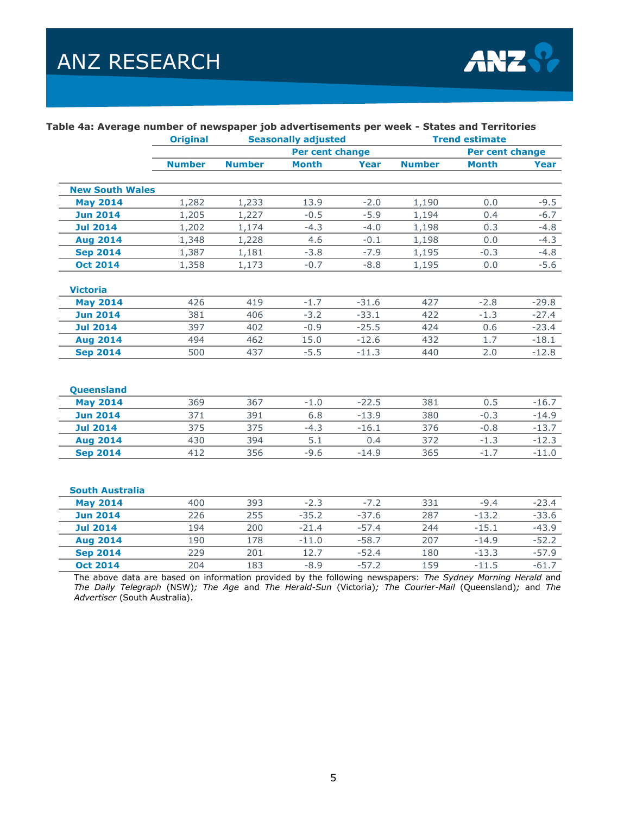

|                        | <b>Original</b> | <b>Seasonally adjusted</b> |              |             | <b>Trend estimate</b> |                 |         |  |
|------------------------|-----------------|----------------------------|--------------|-------------|-----------------------|-----------------|---------|--|
|                        |                 | <b>Per cent change</b>     |              |             |                       | Per cent change |         |  |
|                        | <b>Number</b>   | <b>Number</b>              | <b>Month</b> | <b>Year</b> | <b>Number</b>         | <b>Month</b>    | Year    |  |
|                        |                 |                            |              |             |                       |                 |         |  |
| <b>New South Wales</b> |                 |                            |              |             |                       | 0.0             |         |  |
| <b>May 2014</b>        | 1,282           | 1,233                      | 13.9         | $-2.0$      | 1,190                 |                 | $-9.5$  |  |
| <b>Jun 2014</b>        | 1,205           | 1,227                      | $-0.5$       | $-5.9$      | 1,194                 | 0.4             | $-6.7$  |  |
| <b>Jul 2014</b>        | 1,202           | 1,174                      | $-4.3$       | $-4.0$      | 1,198                 | 0.3             | $-4.8$  |  |
| <b>Aug 2014</b>        | 1,348           | 1,228                      | 4.6          | $-0.1$      | 1,198                 | 0.0             | $-4.3$  |  |
| <b>Sep 2014</b>        | 1,387           | 1,181                      | $-3.8$       | $-7.9$      | 1,195                 | $-0.3$          | $-4.8$  |  |
| <b>Oct 2014</b>        | 1,358           | 1,173                      | $-0.7$       | $-8.8$      | 1,195                 | 0.0             | $-5.6$  |  |
| <b>Victoria</b>        |                 |                            |              |             |                       |                 |         |  |
| <b>May 2014</b>        | 426             | 419                        | $-1.7$       | $-31.6$     | 427                   | $-2.8$          | $-29.8$ |  |
| <b>Jun 2014</b>        | 381             | 406                        | $-3.2$       | $-33.1$     | 422                   | $-1.3$          | $-27.4$ |  |
| <b>Jul 2014</b>        | 397             | 402                        | $-0.9$       | $-25.5$     | 424                   | 0.6             | $-23.4$ |  |
| <b>Aug 2014</b>        | 494             | 462                        | 15.0         | $-12.6$     | 432                   | 1.7             | $-18.1$ |  |
| <b>Sep 2014</b>        | 500             | 437                        | $-5.5$       | $-11.3$     | 440                   | 2.0             | $-12.8$ |  |
|                        |                 |                            |              |             |                       |                 |         |  |
| Queensland             |                 |                            |              |             |                       |                 |         |  |
| <b>May 2014</b>        | 369             | 367                        | $-1.0$       | $-22.5$     | 381                   | 0.5             | $-16.7$ |  |
| <b>Jun 2014</b>        | 371             | 391                        | 6.8          | $-13.9$     | 380                   | $-0.3$          | $-14.9$ |  |
| <b>Jul 2014</b>        | 375             | 375                        | $-4.3$       | $-16.1$     | 376                   | $-0.8$          | $-13.7$ |  |
| <b>Aug 2014</b>        | 430             | 394                        | 5.1          | 0.4         | 372                   | $-1.3$          | $-12.3$ |  |
| <b>Sep 2014</b>        | 412             | 356                        | $-9.6$       | $-14.9$     | 365                   | $-1.7$          | $-11.0$ |  |
|                        |                 |                            |              |             |                       |                 |         |  |
| <b>South Australia</b> |                 |                            |              |             |                       |                 |         |  |
| <b>May 2014</b>        | 400             | 393                        | $-2.3$       | $-7.2$      | 331                   | $-9.4$          | $-23.4$ |  |
| <b>Jun 2014</b>        | 226             | 255                        | $-35.2$      | $-37.6$     | 287                   | $-13.2$         | $-33.6$ |  |
| <b>Jul 2014</b>        | 194             | 200                        | $-21.4$      | $-57.4$     | 244                   | $-15.1$         | $-43.9$ |  |
| <b>Aug 2014</b>        | 190             | 178                        | $-11.0$      | $-58.7$     | 207                   | $-14.9$         | $-52.2$ |  |
| <b>Sep 2014</b>        | 229             | 201                        | 12.7         | $-52.4$     | 180                   | $-13.3$         | $-57.9$ |  |
| <b>Oct 2014</b>        | 204             | 183                        | $-8.9$       | $-57.2$     | 159                   | $-11.5$         | $-61.7$ |  |

#### **Table 4a: Average number of newspaper job advertisements per week - States and Territories**

The above data are based on information provided by the following newspapers: *The Sydney Morning Herald* and *The Daily Telegraph* (NSW)*; The Age* and *The Herald-Sun* (Victoria)*; The Courier-Mail* (Queensland)*;* and *The Advertiser* (South Australia).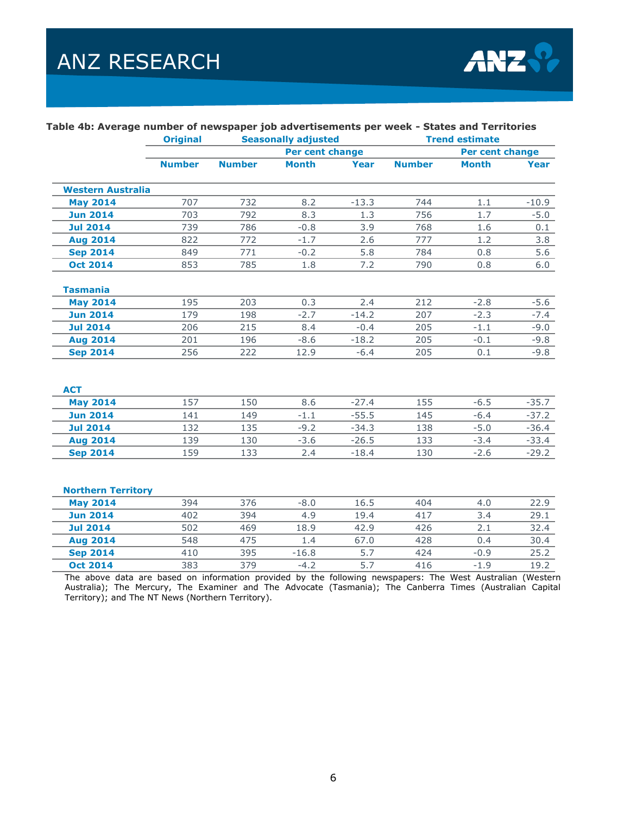

|                           | <b>Original</b> | <b>Seasonally adjusted</b> |              |         | <b>Trend estimate</b> |              |         |  |
|---------------------------|-----------------|----------------------------|--------------|---------|-----------------------|--------------|---------|--|
|                           |                 | Per cent change            |              |         | Per cent change       |              |         |  |
|                           | <b>Number</b>   | <b>Number</b>              | <b>Month</b> | Year    | <b>Number</b>         | <b>Month</b> | Year    |  |
| <b>Western Australia</b>  |                 |                            |              |         |                       |              |         |  |
| <b>May 2014</b>           | 707             | 732                        | 8.2          | $-13.3$ | 744                   | 1.1          | $-10.9$ |  |
| <b>Jun 2014</b>           | 703             | 792                        | 8.3          | 1.3     | 756                   | 1.7          | $-5.0$  |  |
| <b>Jul 2014</b>           | 739             | 786                        | $-0.8$       | 3.9     | 768                   | 1.6          | 0.1     |  |
| <b>Aug 2014</b>           | 822             | 772                        | $-1.7$       | 2.6     | 777                   | 1.2          | 3.8     |  |
| <b>Sep 2014</b>           | 849             | 771                        | $-0.2$       | 5.8     | 784                   | 0.8          | 5.6     |  |
| <b>Oct 2014</b>           | 853             | 785                        | 1.8          | 7.2     | 790                   | 0.8          | 6.0     |  |
| <b>Tasmania</b>           |                 |                            |              |         |                       |              |         |  |
| <b>May 2014</b>           | 195             | 203                        | 0.3          | 2.4     | 212                   | $-2.8$       | $-5.6$  |  |
| <b>Jun 2014</b>           | 179             | 198                        | $-2.7$       | $-14.2$ | 207                   | $-2.3$       | $-7.4$  |  |
| <b>Jul 2014</b>           | 206             | 215                        | 8.4          | $-0.4$  | 205                   | $-1.1$       | $-9.0$  |  |
| <b>Aug 2014</b>           | 201             | 196                        | $-8.6$       | $-18.2$ | 205                   | $-0.1$       | $-9.8$  |  |
| <b>Sep 2014</b>           | 256             | 222                        | 12.9         | $-6.4$  | 205                   | 0.1          | $-9.8$  |  |
|                           |                 |                            |              |         |                       |              |         |  |
| <b>ACT</b>                |                 |                            |              |         |                       |              |         |  |
| <b>May 2014</b>           | 157             | 150                        | 8.6          | $-27.4$ | 155                   | $-6.5$       | $-35.7$ |  |
| <b>Jun 2014</b>           | 141             | 149                        | $-1.1$       | $-55.5$ | 145                   | $-6.4$       | $-37.2$ |  |
| <b>Jul 2014</b>           | 132             | 135                        | $-9.2$       | $-34.3$ | 138                   | $-5.0$       | $-36.4$ |  |
| <b>Aug 2014</b>           | 139             | 130                        | $-3.6$       | $-26.5$ | 133                   | $-3.4$       | $-33.4$ |  |
| <b>Sep 2014</b>           | 159             | 133                        | 2.4          | $-18.4$ | 130                   | $-2.6$       | $-29.2$ |  |
|                           |                 |                            |              |         |                       |              |         |  |
| <b>Northern Territory</b> |                 |                            |              |         |                       |              |         |  |
| <b>May 2014</b>           | 394             | 376                        | $-8.0$       | 16.5    | 404                   | 4.0          | 22.9    |  |
| <b>Jun 2014</b>           | 402             | 394                        | 4.9          | 19.4    | 417                   | 3.4          | 29.1    |  |
| <b>Jul 2014</b>           | 502             | 469                        | 18.9         | 42.9    | 426                   | 2.1          | 32.4    |  |
| <b>Aug 2014</b>           | 548             | 475                        | 1.4          | 67.0    | 428                   | 0.4          | 30.4    |  |
| <b>Sep 2014</b>           | 410             | 395                        | $-16.8$      | 5.7     | 424                   | $-0.9$       | 25.2    |  |

#### **Table 4b: Average number of newspaper job advertisements per week - States and Territories**

The above data are based on information provided by the following newspapers: The West Australian (Western Australia); The Mercury, The Examiner and The Advocate (Tasmania); The Canberra Times (Australian Capital Territory); and The NT News (Northern Territory).

**Oct 2014** 383 379 -4.2 5.7 416 -1.9 19.2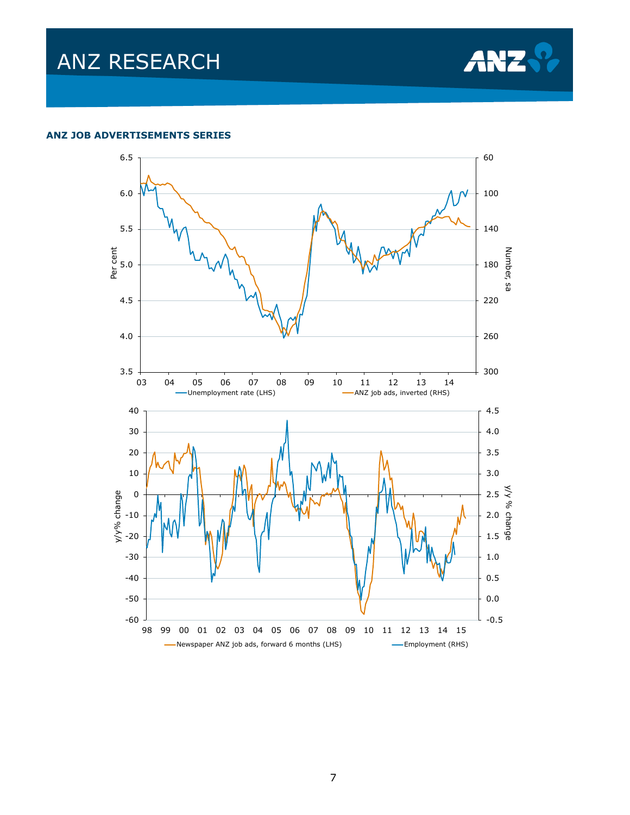

#### **ANZ JOB ADVERTISEMENTS SERIES**

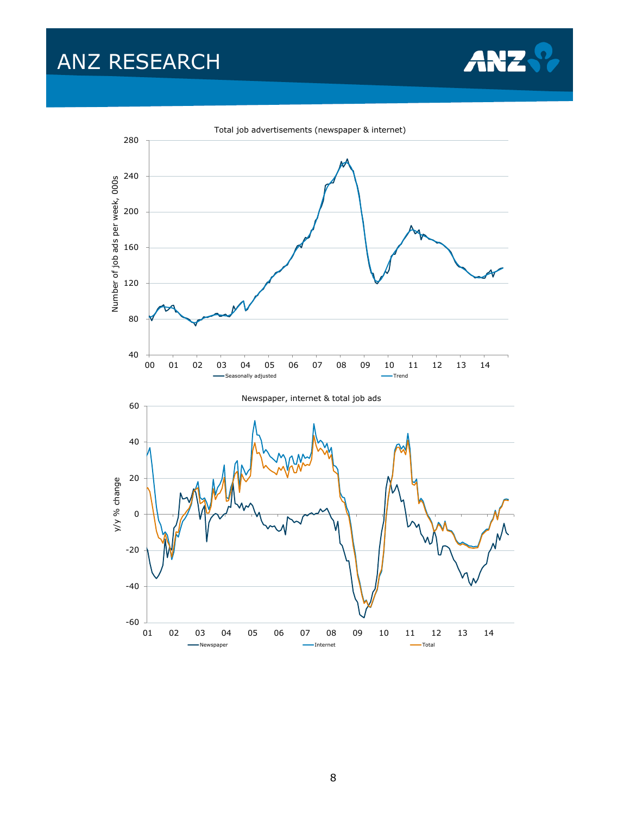

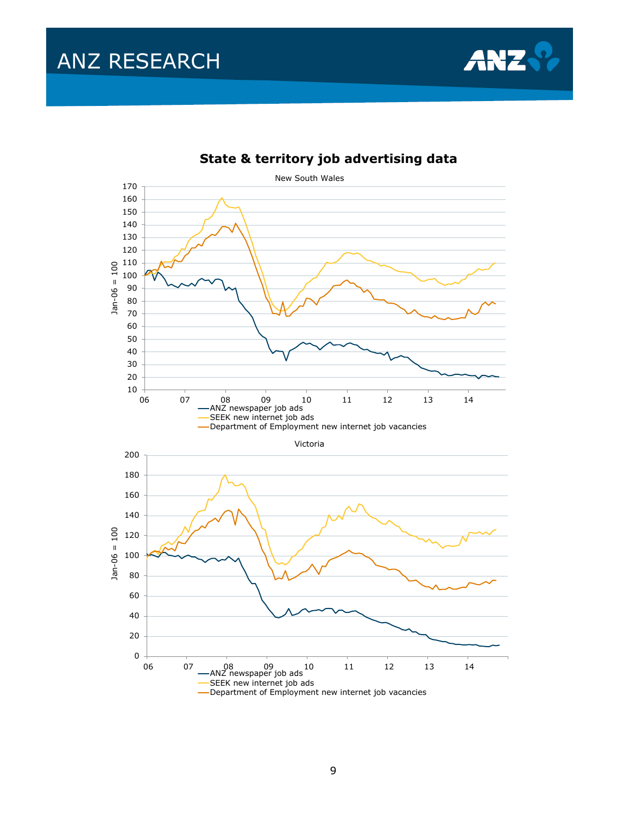



### **State & territory job advertising data**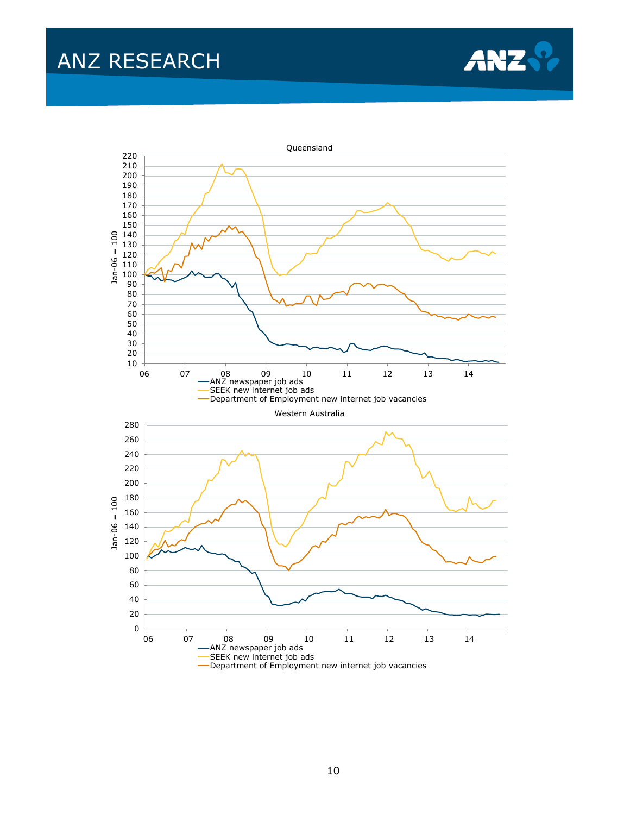

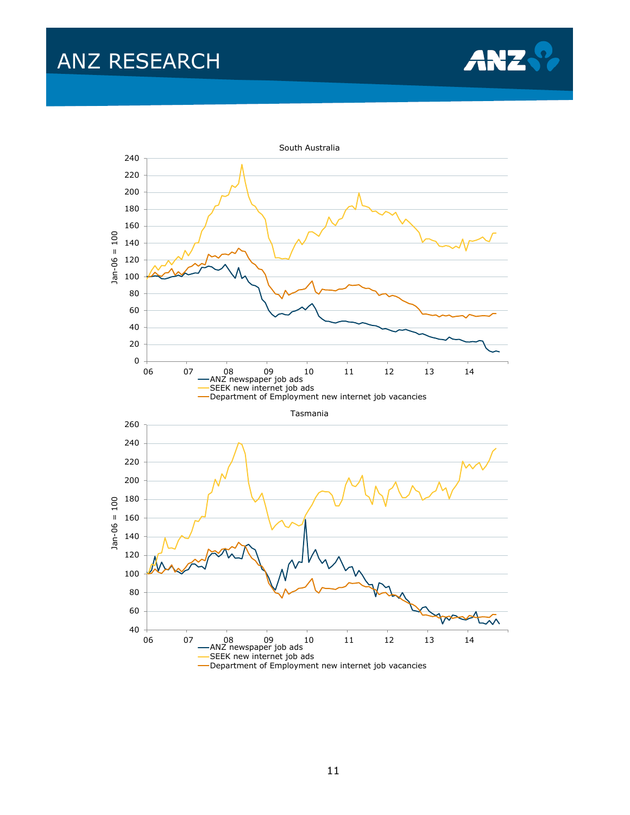

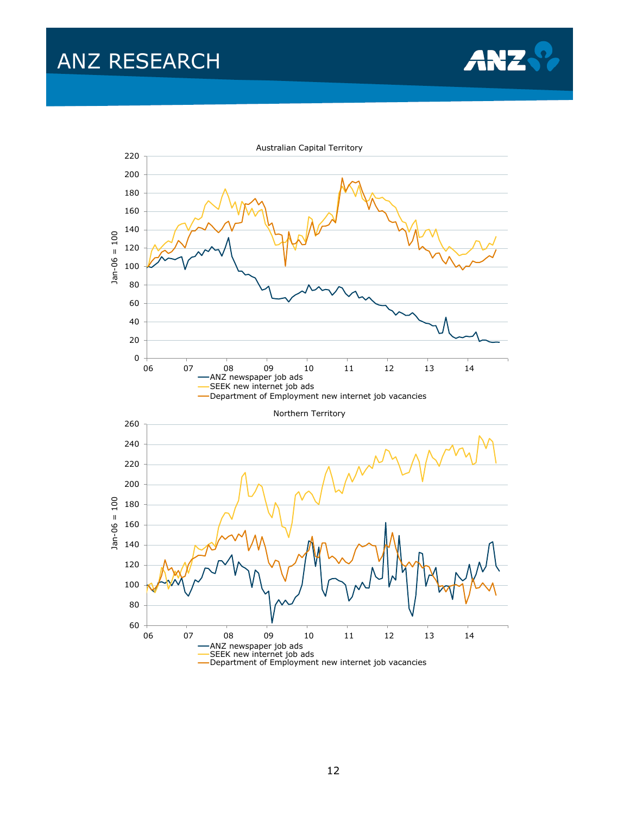

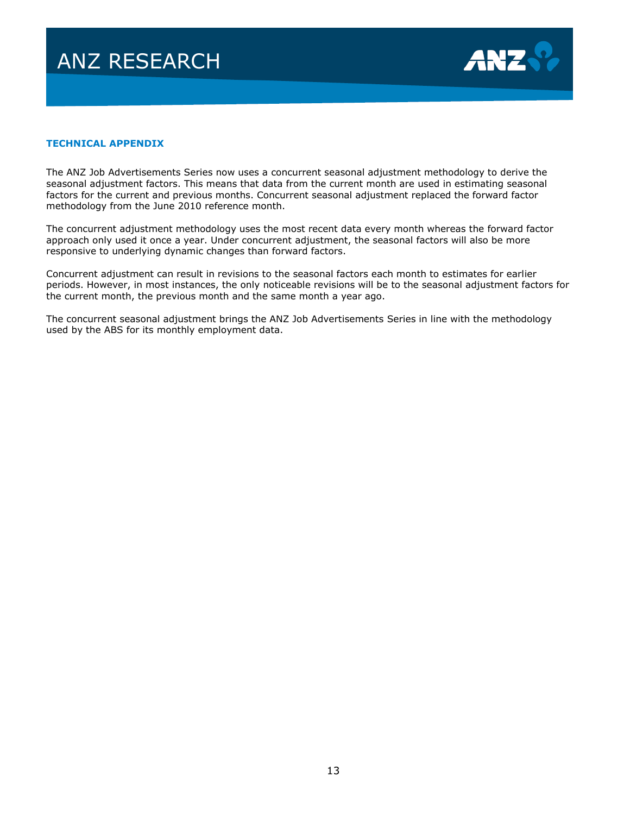

#### **TECHNICAL APPENDIX**

The ANZ Job Advertisements Series now uses a concurrent seasonal adjustment methodology to derive the seasonal adjustment factors. This means that data from the current month are used in estimating seasonal factors for the current and previous months. Concurrent seasonal adjustment replaced the forward factor methodology from the June 2010 reference month.

The concurrent adjustment methodology uses the most recent data every month whereas the forward factor approach only used it once a year. Under concurrent adjustment, the seasonal factors will also be more responsive to underlying dynamic changes than forward factors.

Concurrent adjustment can result in revisions to the seasonal factors each month to estimates for earlier periods. However, in most instances, the only noticeable revisions will be to the seasonal adjustment factors for the current month, the previous month and the same month a year ago.

The concurrent seasonal adjustment brings the ANZ Job Advertisements Series in line with the methodology used by the ABS for its monthly employment data.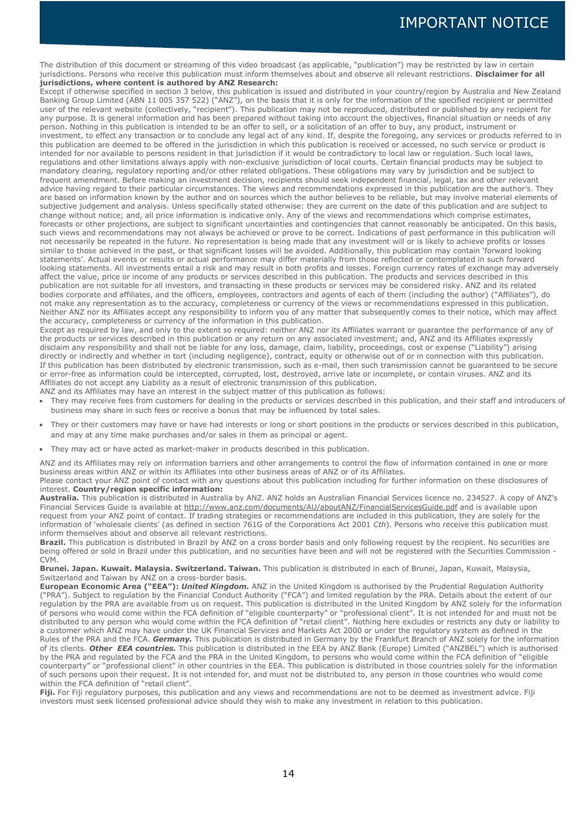### IMPORTANT NOTICE

The distribution of this document or streaming of this video broadcast (as applicable, "publication") may be restricted by law in certain jurisdictions. Persons who receive this publication must inform themselves about and observe all relevant restrictions. **Disclaimer for all jurisdictions, where content is authored by ANZ Research:**

Except if otherwise specified in section 3 below, this publication is issued and distributed in your country/region by Australia and New Zealand Banking Group Limited (ABN 11 005 357 522) ("ANZ"), on the basis that it is only for the information of the specified recipient or permitted user of the relevant website (collectively, "recipient"). This publication may not be reproduced, distributed or published by any recipient for any purpose. It is general information and has been prepared without taking into account the objectives, financial situation or needs of any person. Nothing in this publication is intended to be an offer to sell, or a solicitation of an offer to buy, any product, instrument or investment, to effect any transaction or to conclude any legal act of any kind. If, despite the foregoing, any services or products referred to in this publication are deemed to be offered in the jurisdiction in which this publication is received or accessed, no such service or product is intended for nor available to persons resident in that jurisdiction if it would be contradictory to local law or regulation. Such local laws, regulations and other limitations always apply with non-exclusive jurisdiction of local courts. Certain financial products may be subject to mandatory clearing, regulatory reporting and/or other related obligations. These obligations may vary by jurisdiction and be subject to frequent amendment. Before making an investment decision, recipients should seek independent financial, legal, tax and other relevant advice having regard to their particular circumstances. The views and recommendations expressed in this publication are the author's. They are based on information known by the author and on sources which the author believes to be reliable, but may involve material elements of subjective judgement and analysis. Unless specifically stated otherwise: they are current on the date of this publication and are subject to change without notice; and, all price information is indicative only. Any of the views and recommendations which comprise estimates, forecasts or other projections, are subject to significant uncertainties and contingencies that cannot reasonably be anticipated. On this basis, such views and recommendations may not always be achieved or prove to be correct. Indications of past performance in this publication will not necessarily be repeated in the future. No representation is being made that any investment will or is likely to achieve profits or losses similar to those achieved in the past, or that significant losses will be avoided. Additionally, this publication may contain 'forward looking statements'. Actual events or results or actual performance may differ materially from those reflected or contemplated in such forward looking statements. All investments entail a risk and may result in both profits and losses. Foreign currency rates of exchange may adversely affect the value, price or income of any products or services described in this publication. The products and services described in this publication are not suitable for all investors, and transacting in these products or services may be considered risky. ANZ and its related bodies corporate and affiliates, and the officers, employees, contractors and agents of each of them (including the author) ("Affiliates"), do not make any representation as to the accuracy, completeness or currency of the views or recommendations expressed in this publication. Neither ANZ nor its Affiliates accept any responsibility to inform you of any matter that subsequently comes to their notice, which may affect the accuracy, completeness or currency of the information in this publication.

Except as required by law, and only to the extent so required: neither ANZ nor its Affiliates warrant or guarantee the performance of any of the products or services described in this publication or any return on any associated investment; and, ANZ and its Affiliates expressly disclaim any responsibility and shall not be liable for any loss, damage, claim, liability, proceedings, cost or expense ("Liability") arising directly or indirectly and whether in tort (including negligence), contract, equity or otherwise out of or in connection with this publication. If this publication has been distributed by electronic transmission, such as e-mail, then such transmission cannot be guaranteed to be secure or error-free as information could be intercepted, corrupted, lost, destroyed, arrive late or incomplete, or contain viruses. ANZ and its Affiliates do not accept any Liability as a result of electronic transmission of this publication.

ANZ and its Affiliates may have an interest in the subject matter of this publication as follows:

- They may receive fees from customers for dealing in the products or services described in this publication, and their staff and introducers of business may share in such fees or receive a bonus that may be influenced by total sales.
- They or their customers may have or have had interests or long or short positions in the products or services described in this publication, and may at any time make purchases and/or sales in them as principal or agent.
- They may act or have acted as market-maker in products described in this publication.

ANZ and its Affiliates may rely on information barriers and other arrangements to control the flow of information contained in one or more business areas within ANZ or within its Affiliates into other business areas of ANZ or of its Affiliates.

Please contact your ANZ point of contact with any questions about this publication including for further information on these disclosures of interest. **Country/region specific information:**

**Australia.** This publication is distributed in Australia by ANZ. ANZ holds an Australian Financial Services licence no. 234527. A copy of ANZ's Financial Services Guide is available at [http://www.anz.com/documents/AU/aboutANZ/FinancialServicesGuide.pdf](javascript:openPopupWindow() and is available upon request from your ANZ point of contact. If trading strategies or recommendations are included in this publication, they are solely for the information of 'wholesale clients' (as defined in section 761G of the Corporations Act 2001 *Cth*). Persons who receive this publication must inform themselves about and observe all relevant restrictions.

Brazil. This publication is distributed in Brazil by ANZ on a cross border basis and only following request by the recipient. No securities are being offered or sold in Brazil under this publication, and no securities have been and will not be registered with the Securities Commission -CVM.

**Brunei. Japan. Kuwait. Malaysia. Switzerland. Taiwan.** This publication is distributed in each of Brunei, Japan, Kuwait, Malaysia, Switzerland and Taiwan by ANZ on a cross-border basis.

**European Economic Area ("EEA"):** *United Kingdom.* ANZ in the United Kingdom is authorised by the Prudential Regulation Authority ("PRA"). Subject to regulation by the Financial Conduct Authority ("FCA") and limited regulation by the PRA. Details about the extent of our regulation by the PRA are available from us on request. This publication is distributed in the United Kingdom by ANZ solely for the information of persons who would come within the FCA definition of "eligible counterparty" or "professional client". It is not intended for and must not be distributed to any person who would come within the FCA definition of "retail client". Nothing here excludes or restricts any duty or liability to a customer which ANZ may have under the UK Financial Services and Markets Act 2000 or under the regulatory system as defined in the Rules of the PRA and the FCA. *Germany.* This publication is distributed in Germany by the Frankfurt Branch of ANZ solely for the information of its clients. *Other EEA countries.* This publication is distributed in the EEA by ANZ Bank (Europe) Limited ("ANZBEL") which is authorised by the PRA and regulated by the FCA and the PRA in the United Kingdom, to persons who would come within the FCA definition of "eligible counterparty" or "professional client" in other countries in the EEA. This publication is distributed in those countries solely for the information of such persons upon their request. It is not intended for, and must not be distributed to, any person in those countries who would come within the FCA definition of "retail client".

**Fiji.** For Fiji regulatory purposes, this publication and any views and recommendations are not to be deemed as investment advice. Fiji investors must seek licensed professional advice should they wish to make any investment in relation to this publication.